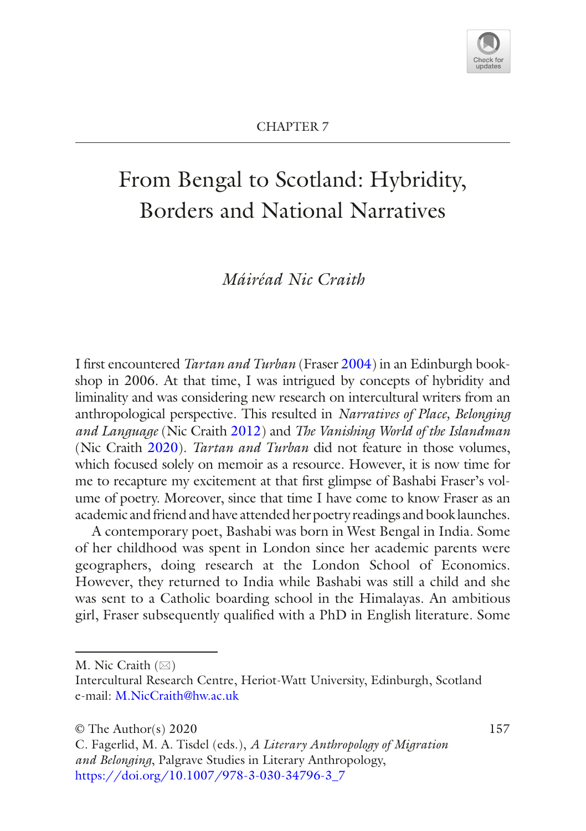

# From Bengal to Scotland: Hybridity, Borders and National Narratives

## *Máiréad Nic Craith*

I first encountered *Tartan and Turban* (Fraser [2004](#page-21-0)) in an Edinburgh bookshop in 2006. At that time, I was intrigued by concepts of hybridity and liminality and was considering new research on intercultural writers from an anthropological perspective. This resulted in *Narratives of Place, Belonging and Language* (Nic Craith [2012](#page-22-0)) and *The Vanishing World of the Islandman* (Nic Craith [2020\)](#page-22-1). *Tartan and Turban* did not feature in those volumes, which focused solely on memoir as a resource. However, it is now time for me to recapture my excitement at that first glimpse of Bashabi Fraser's volume of poetry. Moreover, since that time I have come to know Fraser as an academic and friend and have attended her poetry readings and book launches.

A contemporary poet, Bashabi was born in West Bengal in India. Some of her childhood was spent in London since her academic parents were geographers, doing research at the London School of Economics. However, they returned to India while Bashabi was still a child and she was sent to a Catholic boarding school in the Himalayas. An ambitious girl, Fraser subsequently qualified with a PhD in English literature. Some

M. Nic Craith  $(\boxtimes)$ 

Intercultural Research Centre, Heriot-Watt University, Edinburgh, Scotland e-mail: [M.NicCraith@hw.ac.uk](mailto:M.NicCraith@hw.ac.uk)

 $\oslash$  The Author(s) 2020 157

C. Fagerlid, M. A. Tisdel (eds.), *A Literary Anthropology of Migration and Belonging*, Palgrave Studies in Literary Anthropology, [https://doi.org/10.1007/978-3-030-34796-3\\_7](https://doi.org/10.1007/978-3-030-34796-3_7)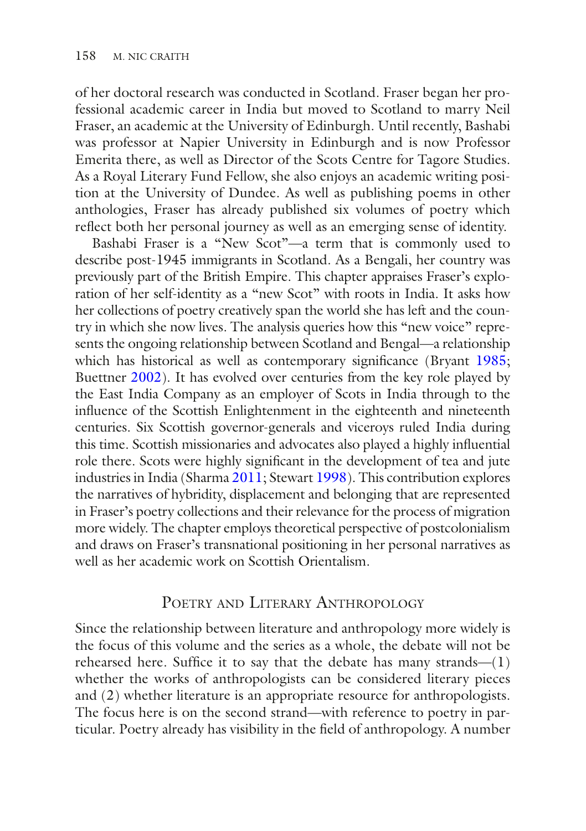of her doctoral research was conducted in Scotland. Fraser began her professional academic career in India but moved to Scotland to marry Neil Fraser, an academic at the University of Edinburgh. Until recently, Bashabi was professor at Napier University in Edinburgh and is now Professor Emerita there, as well as Director of the Scots Centre for Tagore Studies. As a Royal Literary Fund Fellow, she also enjoys an academic writing position at the University of Dundee. As well as publishing poems in other anthologies, Fraser has already published six volumes of poetry which reflect both her personal journey as well as an emerging sense of identity.

Bashabi Fraser is a "New Scot"—a term that is commonly used to describe post-1945 immigrants in Scotland. As a Bengali, her country was previously part of the British Empire. This chapter appraises Fraser's exploration of her self-identity as a "new Scot" with roots in India. It asks how her collections of poetry creatively span the world she has left and the country in which she now lives. The analysis queries how this "new voice" represents the ongoing relationship between Scotland and Bengal—a relationship which has historical as well as contemporary significance (Bryant [1985;](#page-21-1) Buettner [2002\)](#page-21-2). It has evolved over centuries from the key role played by the East India Company as an employer of Scots in India through to the influence of the Scottish Enlightenment in the eighteenth and nineteenth centuries. Six Scottish governor-generals and viceroys ruled India during this time. Scottish missionaries and advocates also played a highly influential role there. Scots were highly significant in the development of tea and jute industries in India (Sharma [2011](#page-23-0); Stewart [1998](#page-23-1)). This contribution explores the narratives of hybridity, displacement and belonging that are represented in Fraser's poetry collections and their relevance for the process of migration more widely. The chapter employs theoretical perspective of postcolonialism and draws on Fraser's transnational positioning in her personal narratives as well as her academic work on Scottish Orientalism.

## POETRY AND LITERARY ANTHROPOLOGY

Since the relationship between literature and anthropology more widely is the focus of this volume and the series as a whole, the debate will not be rehearsed here. Suffice it to say that the debate has many strands—(1) whether the works of anthropologists can be considered literary pieces and (2) whether literature is an appropriate resource for anthropologists. The focus here is on the second strand—with reference to poetry in particular. Poetry already has visibility in the field of anthropology. A number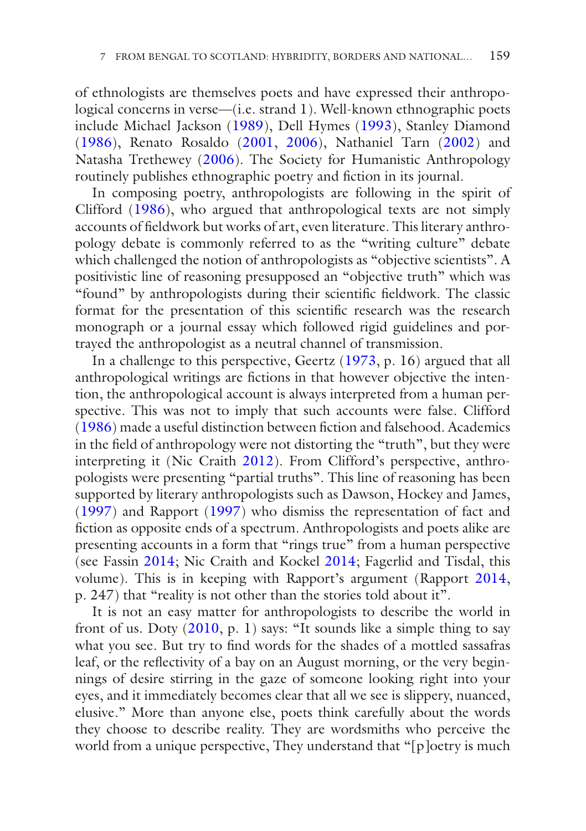of ethnologists are themselves poets and have expressed their anthropological concerns in verse—(i.e. strand 1). Well-known ethnographic poets include Michael Jackson [\(1989\)](#page-22-2), Dell Hymes [\(1993\)](#page-22-3), Stanley Diamond ([1986](#page-21-3)), Renato Rosaldo ([2001](#page-23-2), [2006\)](#page-23-3), Nathaniel Tarn ([2002](#page-23-4)) and Natasha Trethewey [\(2006\)](#page-23-5). The Society for Humanistic Anthropology routinely publishes ethnographic poetry and fiction in its journal.

In composing poetry, anthropologists are following in the spirit of Clifford ([1986](#page-21-4)), who argued that anthropological texts are not simply accounts of fieldwork but works of art, even literature. This literary anthropology debate is commonly referred to as the "writing culture" debate which challenged the notion of anthropologists as "objective scientists". A positivistic line of reasoning presupposed an "objective truth" which was "found" by anthropologists during their scientific fieldwork. The classic format for the presentation of this scientific research was the research monograph or a journal essay which followed rigid guidelines and portrayed the anthropologist as a neutral channel of transmission.

In a challenge to this perspective, Geertz [\(1973](#page-22-4), p. 16) argued that all anthropological writings are fictions in that however objective the intention, the anthropological account is always interpreted from a human perspective. This was not to imply that such accounts were false. Clifford ([1986](#page-21-4)) made a useful distinction between fiction and falsehood. Academics in the field of anthropology were not distorting the "truth", but they were interpreting it (Nic Craith [2012](#page-22-0)). From Clifford's perspective, anthropologists were presenting "partial truths". This line of reasoning has been supported by literary anthropologists such as Dawson, Hockey and James, ([1997](#page-21-5)) and Rapport [\(1997](#page-23-6)) who dismiss the representation of fact and fiction as opposite ends of a spectrum. Anthropologists and poets alike are presenting accounts in a form that "rings true" from a human perspective (see Fassin [2014](#page-21-6); Nic Craith and Kockel [2014](#page-22-5); Fagerlid and Tisdal, this volume). This is in keeping with Rapport's argument (Rapport [2014,](#page-23-7) p. 247) that "reality is not other than the stories told about it".

It is not an easy matter for anthropologists to describe the world in front of us. Doty  $(2010, p. 1)$  $(2010, p. 1)$  $(2010, p. 1)$  says: "It sounds like a simple thing to say what you see. But try to find words for the shades of a mottled sassafras leaf, or the reflectivity of a bay on an August morning, or the very beginnings of desire stirring in the gaze of someone looking right into your eyes, and it immediately becomes clear that all we see is slippery, nuanced, elusive." More than anyone else, poets think carefully about the words they choose to describe reality. They are wordsmiths who perceive the world from a unique perspective, They understand that "[p]oetry is much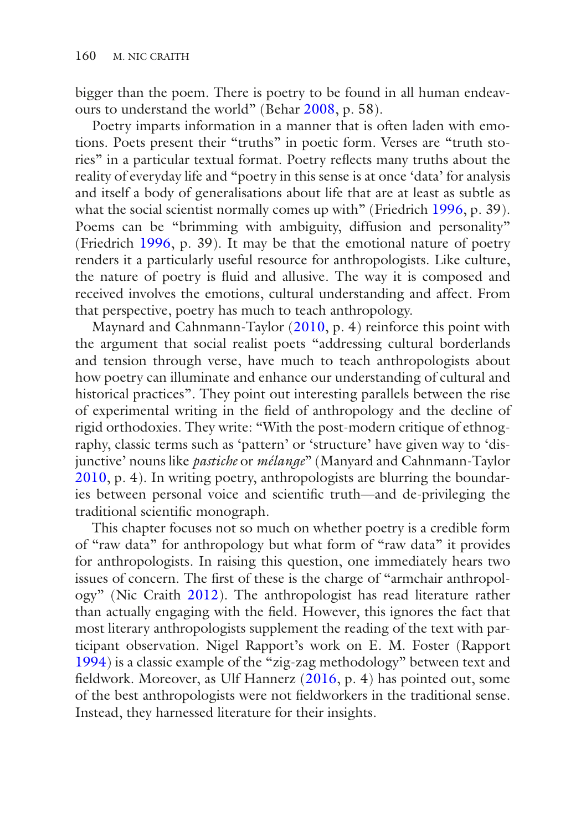bigger than the poem. There is poetry to be found in all human endeavours to understand the world" (Behar [2008](#page-20-0), p. 58).

Poetry imparts information in a manner that is often laden with emotions. Poets present their "truths" in poetic form. Verses are "truth stories" in a particular textual format. Poetry reflects many truths about the reality of everyday life and "poetry in this sense is at once 'data' for analysis and itself a body of generalisations about life that are at least as subtle as what the social scientist normally comes up with" (Friedrich [1996,](#page-22-6) p. 39). Poems can be "brimming with ambiguity, diffusion and personality" (Friedrich [1996](#page-22-6), p. 39). It may be that the emotional nature of poetry renders it a particularly useful resource for anthropologists. Like culture, the nature of poetry is fluid and allusive. The way it is composed and received involves the emotions, cultural understanding and affect. From that perspective, poetry has much to teach anthropology.

Maynard and Cahnmann-Taylor [\(2010,](#page-22-7) p. 4) reinforce this point with the argument that social realist poets "addressing cultural borderlands and tension through verse, have much to teach anthropologists about how poetry can illuminate and enhance our understanding of cultural and historical practices". They point out interesting parallels between the rise of experimental writing in the field of anthropology and the decline of rigid orthodoxies. They write: "With the post-modern critique of ethnography, classic terms such as 'pattern' or 'structure' have given way to 'disjunctive' nouns like *pastiche* or *mélange*" (Manyard and Cahnmann-Taylor [2010](#page-22-7), p. 4). In writing poetry, anthropologists are blurring the boundaries between personal voice and scientific truth—and de-privileging the traditional scientific monograph.

This chapter focuses not so much on whether poetry is a credible form of "raw data" for anthropology but what form of "raw data" it provides for anthropologists. In raising this question, one immediately hears two issues of concern. The first of these is the charge of "armchair anthropology" (Nic Craith [2012\)](#page-22-0). The anthropologist has read literature rather than actually engaging with the field. However, this ignores the fact that most literary anthropologists supplement the reading of the text with participant observation. Nigel Rapport's work on E. M. Foster (Rapport [1994](#page-23-8)) is a classic example of the "zig-zag methodology" between text and fieldwork. Moreover, as Ulf Hannerz ([2016](#page-22-8), p. 4) has pointed out, some of the best anthropologists were not fieldworkers in the traditional sense. Instead, they harnessed literature for their insights.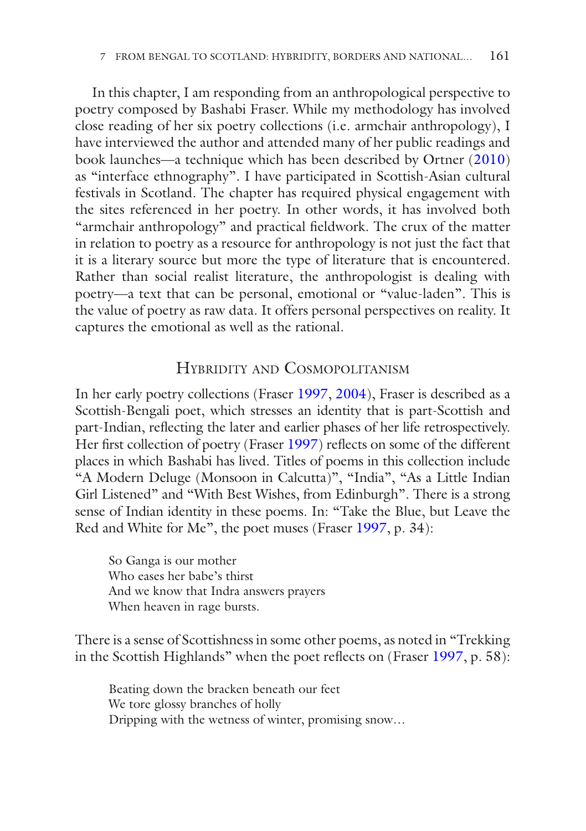In this chapter, I am responding from an anthropological perspective to poetry composed by Bashabi Fraser. While my methodology has involved close reading of her six poetry collections (i.e. armchair anthropology), I have interviewed the author and attended many of her public readings and book launches—a technique which has been described by Ortner [\(2010\)](#page-22-9) as "interface ethnography". I have participated in Scottish-Asian cultural festivals in Scotland. The chapter has required physical engagement with the sites referenced in her poetry. In other words, it has involved both "armchair anthropology" and practical fieldwork. The crux of the matter in relation to poetry as a resource for anthropology is not just the fact that it is a literary source but more the type of literature that is encountered. Rather than social realist literature, the anthropologist is dealing with poetry—a text that can be personal, emotional or "value-laden". This is the value of poetry as raw data. It offers personal perspectives on reality. It captures the emotional as well as the rational.

#### Hybridity and Cosmopolitanism

In her early poetry collections (Fraser [1997,](#page-21-8) [2004](#page-21-0)), Fraser is described as a Scottish-Bengali poet, which stresses an identity that is part-Scottish and part-Indian, reflecting the later and earlier phases of her life retrospectively. Her first collection of poetry (Fraser [1997\)](#page-21-8) reflects on some of the different places in which Bashabi has lived. Titles of poems in this collection include "A Modern Deluge (Monsoon in Calcutta)", "India", "As a Little Indian Girl Listened" and "With Best Wishes, from Edinburgh". There is a strong sense of Indian identity in these poems. In: "Take the Blue, but Leave the Red and White for Me", the poet muses (Fraser [1997](#page-21-8), p. 34):

So Ganga is our mother Who eases her babe's thirst And we know that Indra answers prayers When heaven in rage bursts.

There is a sense of Scottishness in some other poems, as noted in "Trekking in the Scottish Highlands" when the poet reflects on (Fraser [1997,](#page-21-8) p. 58):

Beating down the bracken beneath our feet We tore glossy branches of holly Dripping with the wetness of winter, promising snow…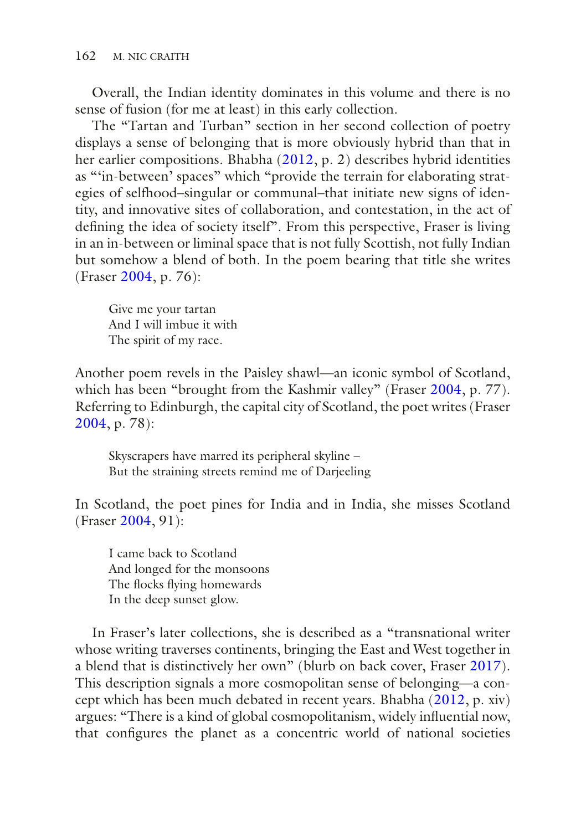Overall, the Indian identity dominates in this volume and there is no sense of fusion (for me at least) in this early collection.

The "Tartan and Turban" section in her second collection of poetry displays a sense of belonging that is more obviously hybrid than that in her earlier compositions. Bhabha [\(2012,](#page-20-1) p. 2) describes hybrid identities as "'in-between' spaces" which "provide the terrain for elaborating strategies of selfhood–singular or communal–that initiate new signs of identity, and innovative sites of collaboration, and contestation, in the act of defining the idea of society itself". From this perspective, Fraser is living in an in-between or liminal space that is not fully Scottish, not fully Indian but somehow a blend of both. In the poem bearing that title she writes (Fraser [2004](#page-21-0), p. 76):

Give me your tartan And I will imbue it with The spirit of my race.

Another poem revels in the Paisley shawl—an iconic symbol of Scotland, which has been "brought from the Kashmir valley" (Fraser [2004,](#page-21-0) p. 77). Referring to Edinburgh, the capital city of Scotland, the poet writes (Fraser [2004](#page-21-0), p. 78):

Skyscrapers have marred its peripheral skyline – But the straining streets remind me of Darjeeling

In Scotland, the poet pines for India and in India, she misses Scotland (Fraser [2004](#page-21-0), 91):

I came back to Scotland And longed for the monsoons The flocks flying homewards In the deep sunset glow.

In Fraser's later collections, she is described as a "transnational writer whose writing traverses continents, bringing the East and West together in a blend that is distinctively her own" (blurb on back cover, Fraser [2017](#page-21-9)). This description signals a more cosmopolitan sense of belonging—a concept which has been much debated in recent years. Bhabha ([2012](#page-20-1), p. xiv) argues: "There is a kind of global cosmopolitanism, widely influential now, that configures the planet as a concentric world of national societies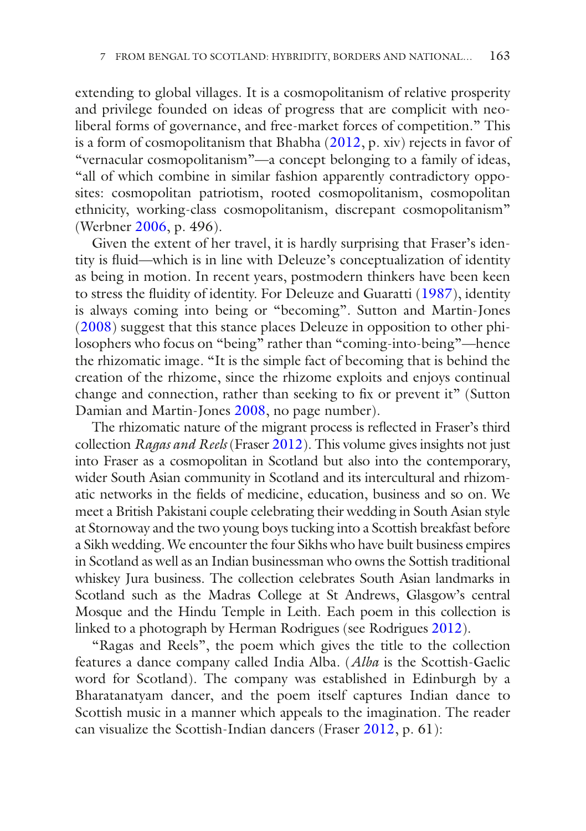extending to global villages. It is a cosmopolitanism of relative prosperity and privilege founded on ideas of progress that are complicit with neoliberal forms of governance, and free-market forces of competition." This is a form of cosmopolitanism that Bhabha [\(2012,](#page-20-1) p. xiv) rejects in favor of "vernacular cosmopolitanism"—a concept belonging to a family of ideas, "all of which combine in similar fashion apparently contradictory opposites: cosmopolitan patriotism, rooted cosmopolitanism, cosmopolitan ethnicity, working-class cosmopolitanism, discrepant cosmopolitanism" (Werbner [2006](#page-23-9), p. 496).

Given the extent of her travel, it is hardly surprising that Fraser's identity is fluid—which is in line with Deleuze's conceptualization of identity as being in motion. In recent years, postmodern thinkers have been keen to stress the fluidity of identity. For Deleuze and Guaratti ([1987](#page-21-10)), identity is always coming into being or "becoming". Sutton and Martin-Jones ([2008](#page-23-10)) suggest that this stance places Deleuze in opposition to other philosophers who focus on "being" rather than "coming-into-being"—hence the rhizomatic image. "It is the simple fact of becoming that is behind the creation of the rhizome, since the rhizome exploits and enjoys continual change and connection, rather than seeking to fix or prevent it" (Sutton Damian and Martin-Jones [2008](#page-23-10), no page number).

The rhizomatic nature of the migrant process is reflected in Fraser's third collection *Ragas and Reels* (Fraser [2012\)](#page-21-11). This volume gives insights not just into Fraser as a cosmopolitan in Scotland but also into the contemporary, wider South Asian community in Scotland and its intercultural and rhizomatic networks in the fields of medicine, education, business and so on. We meet a British Pakistani couple celebrating their wedding in South Asian style at Stornoway and the two young boys tucking into a Scottish breakfast before a Sikh wedding. We encounter the four Sikhs who have built business empires in Scotland as well as an Indian businessman who owns the Sottish traditional whiskey Jura business. The collection celebrates South Asian landmarks in Scotland such as the Madras College at St Andrews, Glasgow's central Mosque and the Hindu Temple in Leith. Each poem in this collection is linked to a photograph by Herman Rodrigues (see Rodrigues [2012](#page-23-11)).

"Ragas and Reels", the poem which gives the title to the collection features a dance company called India Alba. (*Alba* is the Scottish-Gaelic word for Scotland). The company was established in Edinburgh by a Bharatanatyam dancer, and the poem itself captures Indian dance to Scottish music in a manner which appeals to the imagination. The reader can visualize the Scottish-Indian dancers (Fraser [2012,](#page-21-11) p. 61):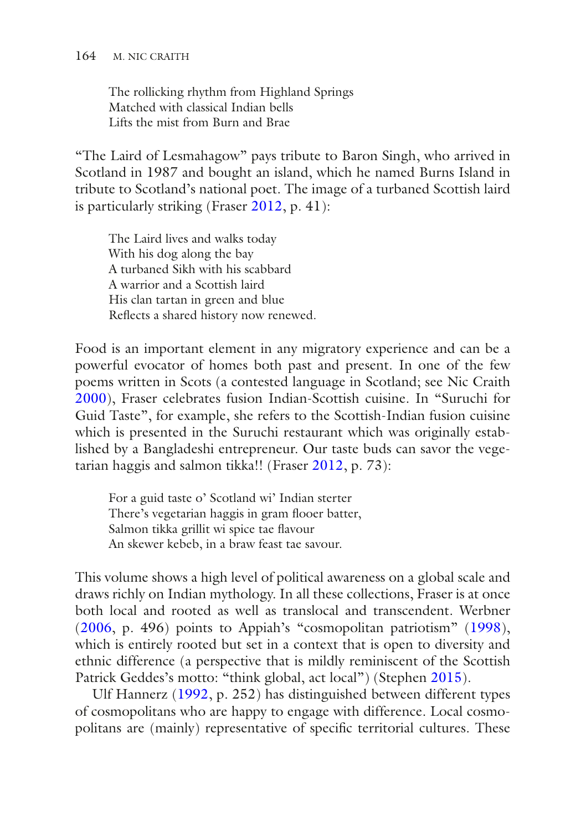The rollicking rhythm from Highland Springs Matched with classical Indian bells Lifts the mist from Burn and Brae

"The Laird of Lesmahagow" pays tribute to Baron Singh, who arrived in Scotland in 1987 and bought an island, which he named Burns Island in tribute to Scotland's national poet. The image of a turbaned Scottish laird is particularly striking (Fraser [2012](#page-21-11), p. 41):

The Laird lives and walks today With his dog along the bay A turbaned Sikh with his scabbard A warrior and a Scottish laird His clan tartan in green and blue Reflects a shared history now renewed.

Food is an important element in any migratory experience and can be a powerful evocator of homes both past and present. In one of the few poems written in Scots (a contested language in Scotland; see Nic Craith [2000](#page-22-10)), Fraser celebrates fusion Indian-Scottish cuisine. In "Suruchi for Guid Taste", for example, she refers to the Scottish-Indian fusion cuisine which is presented in the Suruchi restaurant which was originally established by a Bangladeshi entrepreneur. Our taste buds can savor the vegetarian haggis and salmon tikka!! (Fraser [2012](#page-21-11), p. 73):

For a guid taste o' Scotland wi' Indian sterter There's vegetarian haggis in gram flooer batter, Salmon tikka grillit wi spice tae flavour An skewer kebeb, in a braw feast tae savour.

This volume shows a high level of political awareness on a global scale and draws richly on Indian mythology. In all these collections, Fraser is at once both local and rooted as well as translocal and transcendent. Werbner ([2006](#page-23-9), p. 496) points to Appiah's "cosmopolitan patriotism" ([1998](#page-20-2)), which is entirely rooted but set in a context that is open to diversity and ethnic difference (a perspective that is mildly reminiscent of the Scottish Patrick Geddes's motto: "think global, act local") (Stephen [2015](#page-23-12)).

Ulf Hannerz [\(1992](#page-22-11), p. 252) has distinguished between different types of cosmopolitans who are happy to engage with difference. Local cosmopolitans are (mainly) representative of specific territorial cultures. These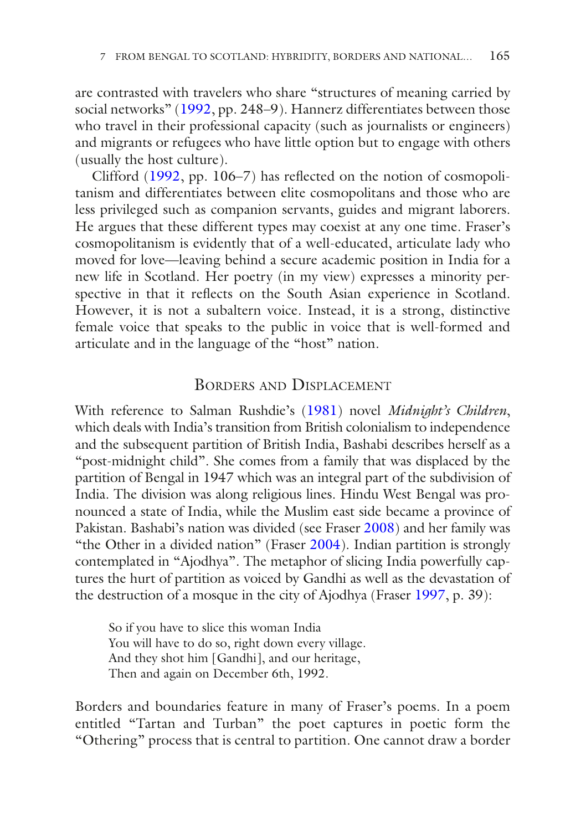are contrasted with travelers who share "structures of meaning carried by social networks" ([1992](#page-22-11), pp. 248–9). Hannerz differentiates between those who travel in their professional capacity (such as journalists or engineers) and migrants or refugees who have little option but to engage with others (usually the host culture).

Clifford ([1992](#page-21-12), pp. 106–7) has reflected on the notion of cosmopolitanism and differentiates between elite cosmopolitans and those who are less privileged such as companion servants, guides and migrant laborers. He argues that these different types may coexist at any one time. Fraser's cosmopolitanism is evidently that of a well-educated, articulate lady who moved for love—leaving behind a secure academic position in India for a new life in Scotland. Her poetry (in my view) expresses a minority perspective in that it reflects on the South Asian experience in Scotland. However, it is not a subaltern voice. Instead, it is a strong, distinctive female voice that speaks to the public in voice that is well-formed and articulate and in the language of the "host" nation.

## Borders and Displacement

With reference to Salman Rushdie's ([1981\)](#page-23-13) novel *Midnight's Children*, which deals with India's transition from British colonialism to independence and the subsequent partition of British India, Bashabi describes herself as a "post-midnight child". She comes from a family that was displaced by the partition of Bengal in 1947 which was an integral part of the subdivision of India. The division was along religious lines. Hindu West Bengal was pronounced a state of India, while the Muslim east side became a province of Pakistan. Bashabi's nation was divided (see Fraser [2008\)](#page-21-13) and her family was "the Other in a divided nation" (Fraser [2004\)](#page-21-0). Indian partition is strongly contemplated in "Ajodhya". The metaphor of slicing India powerfully captures the hurt of partition as voiced by Gandhi as well as the devastation of the destruction of a mosque in the city of Ajodhya (Fraser [1997](#page-21-8), p. 39):

So if you have to slice this woman India You will have to do so, right down every village. And they shot him [Gandhi], and our heritage, Then and again on December 6th, 1992.

Borders and boundaries feature in many of Fraser's poems. In a poem entitled "Tartan and Turban" the poet captures in poetic form the "Othering" process that is central to partition. One cannot draw a border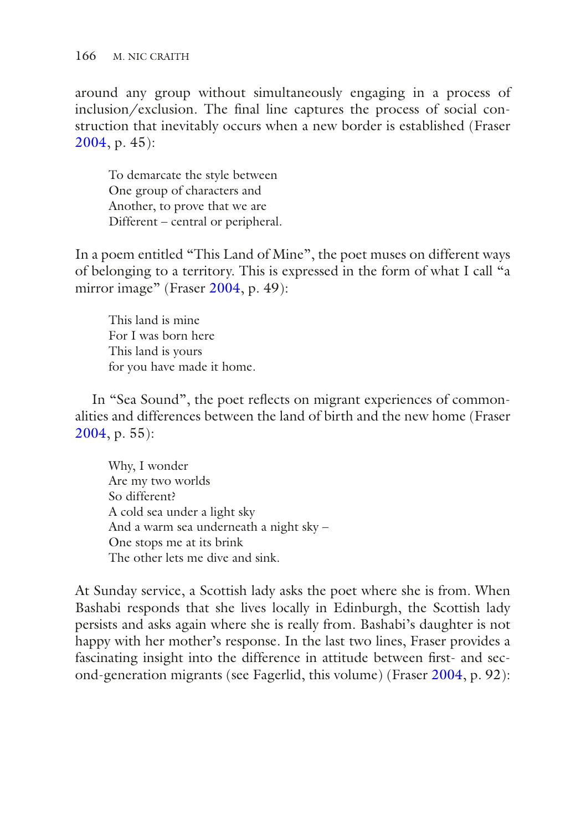around any group without simultaneously engaging in a process of inclusion/exclusion. The final line captures the process of social construction that inevitably occurs when a new border is established (Fraser [2004](#page-21-0), p. 45):

To demarcate the style between One group of characters and Another, to prove that we are Different – central or peripheral.

In a poem entitled "This Land of Mine", the poet muses on different ways of belonging to a territory. This is expressed in the form of what I call "a mirror image" (Fraser [2004](#page-21-0), p. 49):

This land is mine For I was born here This land is yours for you have made it home.

In "Sea Sound", the poet reflects on migrant experiences of commonalities and differences between the land of birth and the new home (Fraser [2004](#page-21-0), p. 55):

Why, I wonder Are my two worlds So different? A cold sea under a light sky And a warm sea underneath a night sky – One stops me at its brink The other lets me dive and sink.

At Sunday service, a Scottish lady asks the poet where she is from. When Bashabi responds that she lives locally in Edinburgh, the Scottish lady persists and asks again where she is really from. Bashabi's daughter is not happy with her mother's response. In the last two lines, Fraser provides a fascinating insight into the difference in attitude between first- and second-generation migrants (see Fagerlid, this volume) (Fraser [2004,](#page-21-0) p. 92):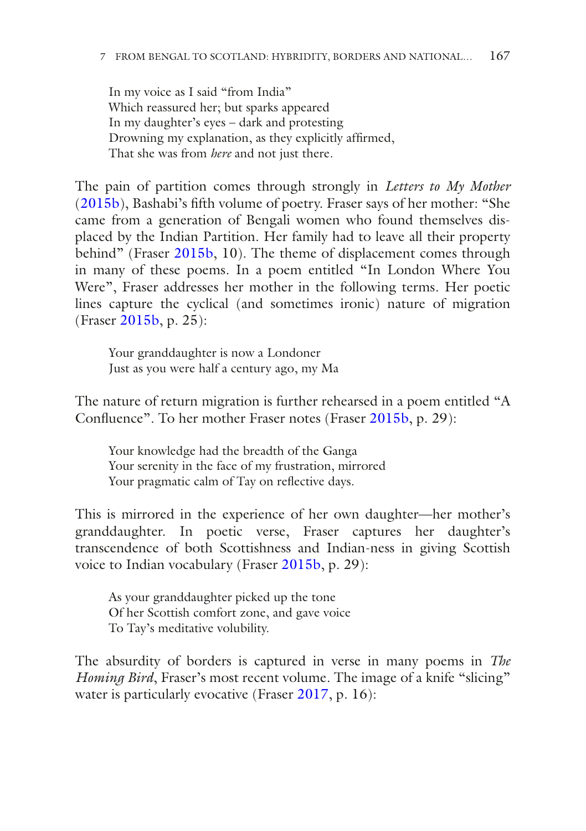In my voice as I said "from India" Which reassured her; but sparks appeared In my daughter's eyes – dark and protesting Drowning my explanation, as they explicitly affirmed, That she was from *here* and not just there.

The pain of partition comes through strongly in *Letters to My Mother* ([2015b\)](#page-21-14), Bashabi's fifth volume of poetry. Fraser says of her mother: "She came from a generation of Bengali women who found themselves displaced by the Indian Partition. Her family had to leave all their property behind" (Fraser [2015b,](#page-21-14) 10). The theme of displacement comes through in many of these poems. In a poem entitled "In London Where You Were", Fraser addresses her mother in the following terms. Her poetic lines capture the cyclical (and sometimes ironic) nature of migration (Fraser [2015b](#page-21-14), p. 25):

Your granddaughter is now a Londoner Just as you were half a century ago, my Ma

The nature of return migration is further rehearsed in a poem entitled "A Confluence". To her mother Fraser notes (Fraser [2015b,](#page-21-14) p. 29):

Your knowledge had the breadth of the Ganga Your serenity in the face of my frustration, mirrored Your pragmatic calm of Tay on reflective days.

This is mirrored in the experience of her own daughter—her mother's granddaughter. In poetic verse, Fraser captures her daughter's transcendence of both Scottishness and Indian-ness in giving Scottish voice to Indian vocabulary (Fraser [2015b,](#page-21-14) p. 29):

As your granddaughter picked up the tone Of her Scottish comfort zone, and gave voice To Tay's meditative volubility.

The absurdity of borders is captured in verse in many poems in *The Homing Bird*, Fraser's most recent volume. The image of a knife "slicing" water is particularly evocative (Fraser [2017](#page-21-9), p. 16):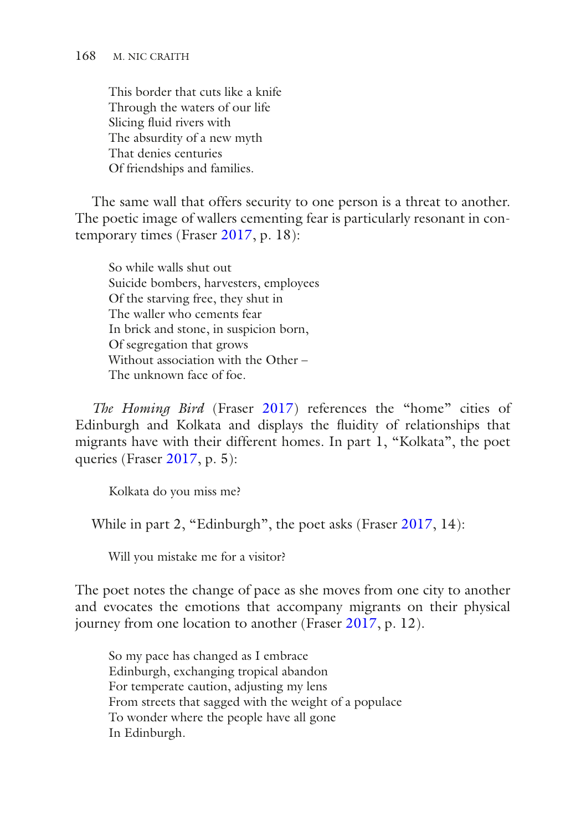This border that cuts like a knife Through the waters of our life Slicing fluid rivers with The absurdity of a new myth That denies centuries Of friendships and families.

The same wall that offers security to one person is a threat to another. The poetic image of wallers cementing fear is particularly resonant in contemporary times (Fraser [2017,](#page-21-9) p. 18):

So while walls shut out Suicide bombers, harvesters, employees Of the starving free, they shut in The waller who cements fear In brick and stone, in suspicion born, Of segregation that grows Without association with the Other – The unknown face of foe.

*The Homing Bird* (Fraser [2017](#page-21-9)) references the "home" cities of Edinburgh and Kolkata and displays the fluidity of relationships that migrants have with their different homes. In part 1, "Kolkata", the poet queries (Fraser [2017](#page-21-9), p. 5):

Kolkata do you miss me?

While in part 2, "Edinburgh", the poet asks (Fraser [2017,](#page-21-9) 14):

Will you mistake me for a visitor?

The poet notes the change of pace as she moves from one city to another and evocates the emotions that accompany migrants on their physical journey from one location to another (Fraser [2017](#page-21-9), p. 12).

So my pace has changed as I embrace Edinburgh, exchanging tropical abandon For temperate caution, adjusting my lens From streets that sagged with the weight of a populace To wonder where the people have all gone In Edinburgh.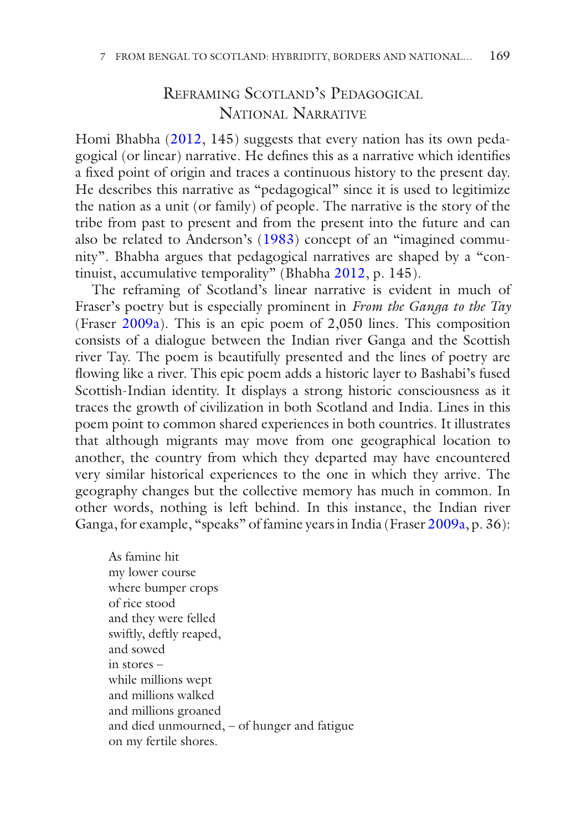## REFRAMING SCOTLAND'S PEDAGOGICAL NATIONAL NARRATIVE

Homi Bhabha [\(2012,](#page-20-1) 145) suggests that every nation has its own pedagogical (or linear) narrative. He defines this as a narrative which identifies a fixed point of origin and traces a continuous history to the present day. He describes this narrative as "pedagogical" since it is used to legitimize the nation as a unit (or family) of people. The narrative is the story of the tribe from past to present and from the present into the future and can also be related to Anderson's [\(1983\)](#page-20-3) concept of an "imagined community". Bhabha argues that pedagogical narratives are shaped by a "continuist, accumulative temporality" (Bhabha [2012,](#page-20-1) p. 145).

The reframing of Scotland's linear narrative is evident in much of Fraser's poetry but is especially prominent in *From the Ganga to the Tay* (Fraser [2009a](#page-21-15)). This is an epic poem of 2,050 lines. This composition consists of a dialogue between the Indian river Ganga and the Scottish river Tay. The poem is beautifully presented and the lines of poetry are flowing like a river. This epic poem adds a historic layer to Bashabi's fused Scottish-Indian identity. It displays a strong historic consciousness as it traces the growth of civilization in both Scotland and India. Lines in this poem point to common shared experiences in both countries. It illustrates that although migrants may move from one geographical location to another, the country from which they departed may have encountered very similar historical experiences to the one in which they arrive. The geography changes but the collective memory has much in common. In other words, nothing is left behind. In this instance, the Indian river Ganga, for example, "speaks" of famine years in India (Fraser [2009a](#page-21-15), p. 36):

As famine hit my lower course where bumper crops of rice stood and they were felled swiftly, deftly reaped, and sowed in stores – while millions wept and millions walked and millions groaned and died unmourned, – of hunger and fatigue on my fertile shores.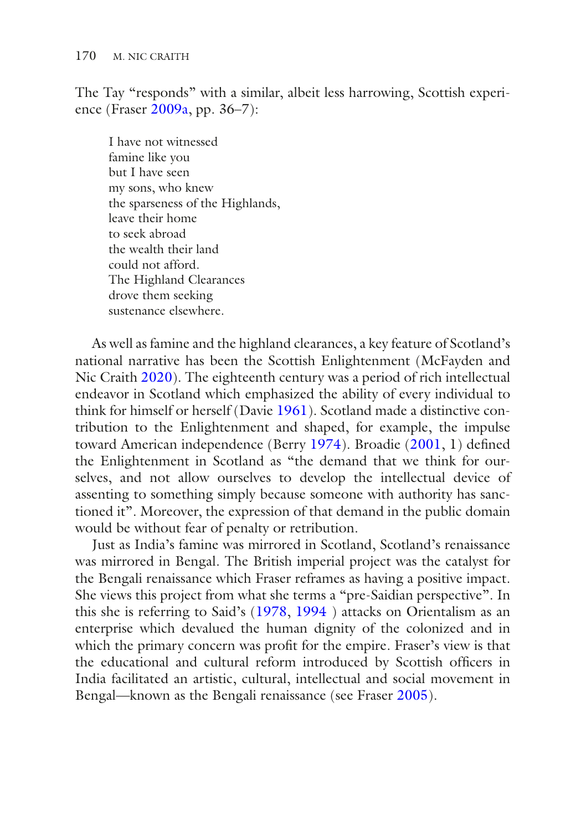The Tay "responds" with a similar, albeit less harrowing, Scottish experience (Fraser [2009a,](#page-21-15) pp. 36–7):

I have not witnessed famine like you but I have seen my sons, who knew the sparseness of the Highlands, leave their home to seek abroad the wealth their land could not afford. The Highland Clearances drove them seeking sustenance elsewhere.

As well as famine and the highland clearances, a key feature of Scotland's national narrative has been the Scottish Enlightenment (McFayden and Nic Craith [2020](#page-22-1)). The eighteenth century was a period of rich intellectual endeavor in Scotland which emphasized the ability of every individual to think for himself or herself (Davie [1961\)](#page-21-16). Scotland made a distinctive contribution to the Enlightenment and shaped, for example, the impulse toward American independence (Berry [1974](#page-20-4)). Broadie ([2001](#page-21-17), 1) defined the Enlightenment in Scotland as "the demand that we think for ourselves, and not allow ourselves to develop the intellectual device of assenting to something simply because someone with authority has sanctioned it". Moreover, the expression of that demand in the public domain would be without fear of penalty or retribution.

Just as India's famine was mirrored in Scotland, Scotland's renaissance was mirrored in Bengal. The British imperial project was the catalyst for the Bengali renaissance which Fraser reframes as having a positive impact. She views this project from what she terms a "pre-Saidian perspective". In this she is referring to Said's [\(1978,](#page-23-14) [1994](#page-23-15) ) attacks on Orientalism as an enterprise which devalued the human dignity of the colonized and in which the primary concern was profit for the empire. Fraser's view is that the educational and cultural reform introduced by Scottish officers in India facilitated an artistic, cultural, intellectual and social movement in Bengal—known as the Bengali renaissance (see Fraser [2005\)](#page-21-18).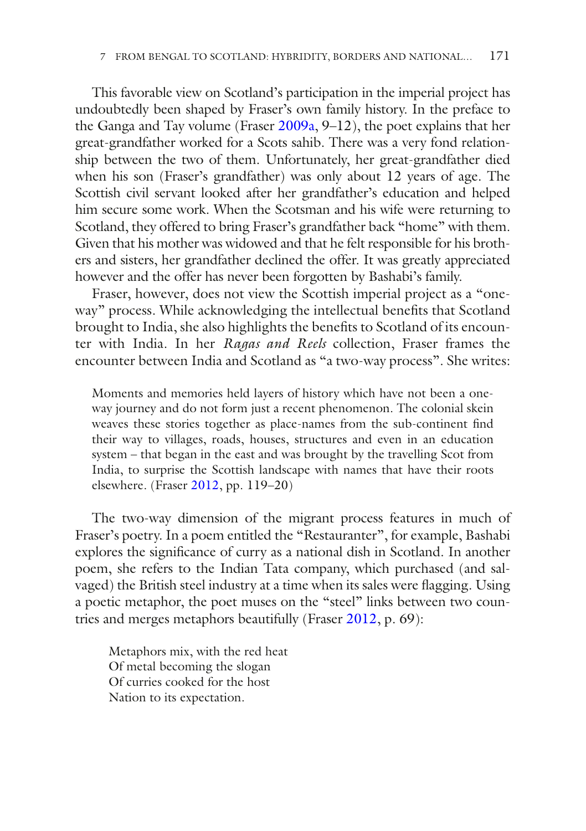This favorable view on Scotland's participation in the imperial project has undoubtedly been shaped by Fraser's own family history. In the preface to the Ganga and Tay volume (Fraser [2009a](#page-21-15), 9–12), the poet explains that her great-grandfather worked for a Scots sahib. There was a very fond relationship between the two of them. Unfortunately, her great-grandfather died when his son (Fraser's grandfather) was only about 12 years of age. The Scottish civil servant looked after her grandfather's education and helped him secure some work. When the Scotsman and his wife were returning to Scotland, they offered to bring Fraser's grandfather back "home" with them. Given that his mother was widowed and that he felt responsible for his brothers and sisters, her grandfather declined the offer. It was greatly appreciated however and the offer has never been forgotten by Bashabi's family.

Fraser, however, does not view the Scottish imperial project as a "oneway" process. While acknowledging the intellectual benefits that Scotland brought to India, she also highlights the benefits to Scotland of its encounter with India. In her *Ragas and Reels* collection, Fraser frames the encounter between India and Scotland as "a two-way process". She writes:

Moments and memories held layers of history which have not been a oneway journey and do not form just a recent phenomenon. The colonial skein weaves these stories together as place-names from the sub-continent find their way to villages, roads, houses, structures and even in an education system – that began in the east and was brought by the travelling Scot from India, to surprise the Scottish landscape with names that have their roots elsewhere. (Fraser [2012](#page-21-11), pp. 119–20)

The two-way dimension of the migrant process features in much of Fraser's poetry. In a poem entitled the "Restauranter", for example, Bashabi explores the significance of curry as a national dish in Scotland. In another poem, she refers to the Indian Tata company, which purchased (and salvaged) the British steel industry at a time when its sales were flagging. Using a poetic metaphor, the poet muses on the "steel" links between two countries and merges metaphors beautifully (Fraser [2012](#page-21-11), p. 69):

Metaphors mix, with the red heat Of metal becoming the slogan Of curries cooked for the host Nation to its expectation.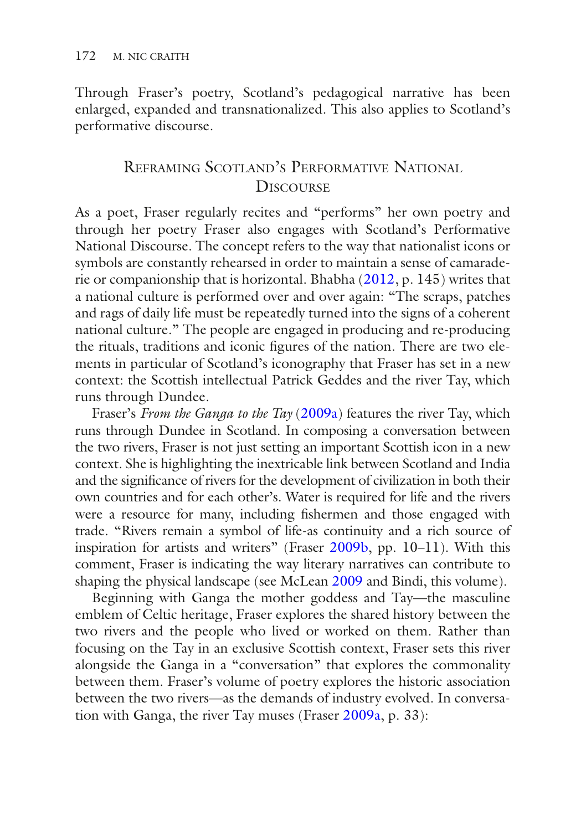Through Fraser's poetry, Scotland's pedagogical narrative has been enlarged, expanded and transnationalized. This also applies to Scotland's performative discourse.

## Reframing Scotland's Performative National **DISCOURSE**

As a poet, Fraser regularly recites and "performs" her own poetry and through her poetry Fraser also engages with Scotland's Performative National Discourse. The concept refers to the way that nationalist icons or symbols are constantly rehearsed in order to maintain a sense of camaraderie or companionship that is horizontal. Bhabha ([2012,](#page-20-1) p. 145) writes that a national culture is performed over and over again: "The scraps, patches and rags of daily life must be repeatedly turned into the signs of a coherent national culture." The people are engaged in producing and re-producing the rituals, traditions and iconic figures of the nation. There are two elements in particular of Scotland's iconography that Fraser has set in a new context: the Scottish intellectual Patrick Geddes and the river Tay, which runs through Dundee.

Fraser's *From the Ganga to the Tay* ([2009a\)](#page-21-15) features the river Tay, which runs through Dundee in Scotland. In composing a conversation between the two rivers, Fraser is not just setting an important Scottish icon in a new context. She is highlighting the inextricable link between Scotland and India and the significance of rivers for the development of civilization in both their own countries and for each other's. Water is required for life and the rivers were a resource for many, including fishermen and those engaged with trade. "Rivers remain a symbol of life-as continuity and a rich source of inspiration for artists and writers" (Fraser [2009b,](#page-21-19) pp. 10–11). With this comment, Fraser is indicating the way literary narratives can contribute to shaping the physical landscape (see McLean [2009](#page-22-12) and Bindi, this volume).

Beginning with Ganga the mother goddess and Tay—the masculine emblem of Celtic heritage, Fraser explores the shared history between the two rivers and the people who lived or worked on them. Rather than focusing on the Tay in an exclusive Scottish context, Fraser sets this river alongside the Ganga in a "conversation" that explores the commonality between them. Fraser's volume of poetry explores the historic association between the two rivers—as the demands of industry evolved. In conversation with Ganga, the river Tay muses (Fraser [2009a,](#page-21-15) p. 33):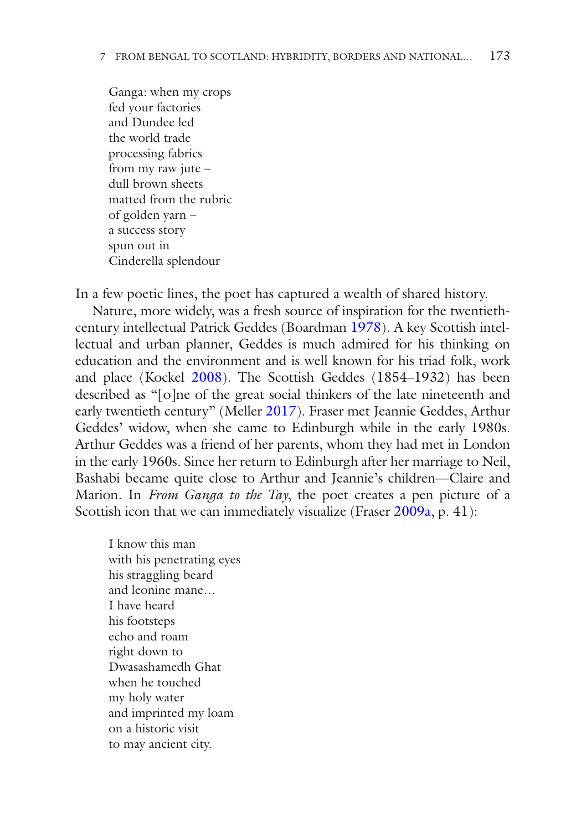Ganga: when my crops fed your factories and Dundee led the world trade processing fabrics from my raw jute – dull brown sheets matted from the rubric of golden yarn – a success story spun out in Cinderella splendour

In a few poetic lines, the poet has captured a wealth of shared history.

Nature, more widely, was a fresh source of inspiration for the twentiethcentury intellectual Patrick Geddes (Boardman [1978](#page-20-5)). A key Scottish intellectual and urban planner, Geddes is much admired for his thinking on education and the environment and is well known for his triad folk, work and place (Kockel [2008](#page-22-13)). The Scottish Geddes (1854–1932) has been described as "[o]ne of the great social thinkers of the late nineteenth and early twentieth century" (Meller [2017](#page-22-14)). Fraser met Jeannie Geddes, Arthur Geddes' widow, when she came to Edinburgh while in the early 1980s. Arthur Geddes was a friend of her parents, whom they had met in London in the early 1960s. Since her return to Edinburgh after her marriage to Neil, Bashabi became quite close to Arthur and Jeannie's children—Claire and Marion. In *From Ganga to the Tay*, the poet creates a pen picture of a Scottish icon that we can immediately visualize (Fraser [2009a,](#page-21-15) p. 41):

I know this man with his penetrating eyes his straggling beard and leonine mane… I have heard his footsteps echo and roam right down to Dwasashamedh Ghat when he touched my holy water and imprinted my loam on a historic visit to may ancient city.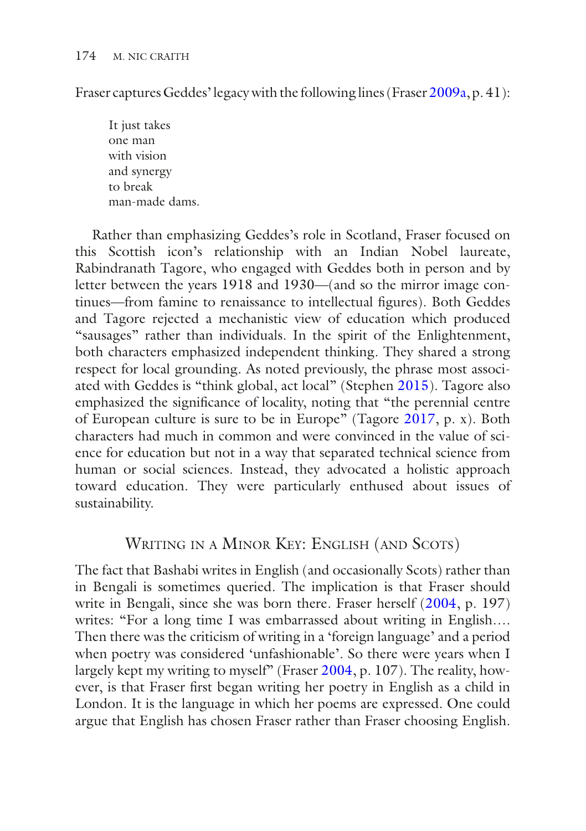Fraser captures Geddes' legacy with the following lines (Fraser [2009a](#page-21-15), p. 41):

It just takes one man with vision and synergy to break man-made dams.

Rather than emphasizing Geddes's role in Scotland, Fraser focused on this Scottish icon's relationship with an Indian Nobel laureate, Rabindranath Tagore, who engaged with Geddes both in person and by letter between the years 1918 and 1930—(and so the mirror image continues—from famine to renaissance to intellectual figures). Both Geddes and Tagore rejected a mechanistic view of education which produced "sausages" rather than individuals. In the spirit of the Enlightenment, both characters emphasized independent thinking. They shared a strong respect for local grounding. As noted previously, the phrase most associated with Geddes is "think global, act local" (Stephen [2015](#page-23-12)). Tagore also emphasized the significance of locality, noting that "the perennial centre of European culture is sure to be in Europe" (Tagore [2017,](#page-23-16) p. x). Both characters had much in common and were convinced in the value of science for education but not in a way that separated technical science from human or social sciences. Instead, they advocated a holistic approach toward education. They were particularly enthused about issues of sustainability.

## WRITING IN A MINOR KEY: ENGLISH (AND SCOTS)

The fact that Bashabi writes in English (and occasionally Scots) rather than in Bengali is sometimes queried. The implication is that Fraser should write in Bengali, since she was born there. Fraser herself ([2004](#page-21-0), p. 197) writes: "For a long time I was embarrassed about writing in English.... Then there was the criticism of writing in a 'foreign language' and a period when poetry was considered 'unfashionable'. So there were years when I largely kept my writing to myself" (Fraser [2004,](#page-21-0) p. 107). The reality, however, is that Fraser first began writing her poetry in English as a child in London. It is the language in which her poems are expressed. One could argue that English has chosen Fraser rather than Fraser choosing English.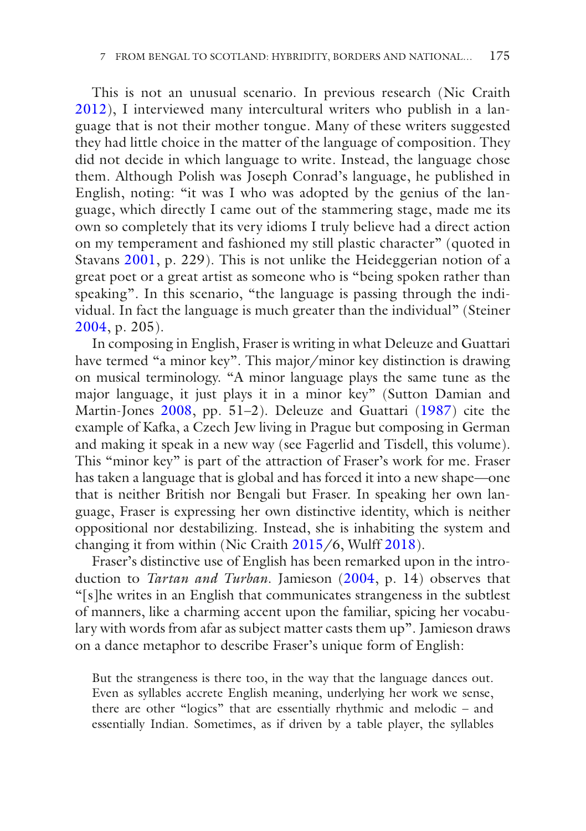This is not an unusual scenario. In previous research (Nic Craith [2012\)](#page-22-0), I interviewed many intercultural writers who publish in a language that is not their mother tongue. Many of these writers suggested they had little choice in the matter of the language of composition. They did not decide in which language to write. Instead, the language chose them. Although Polish was Joseph Conrad's language, he published in English, noting: "it was I who was adopted by the genius of the language, which directly I came out of the stammering stage, made me its own so completely that its very idioms I truly believe had a direct action on my temperament and fashioned my still plastic character" (quoted in Stavans [2001,](#page-23-17) p. 229). This is not unlike the Heideggerian notion of a great poet or a great artist as someone who is "being spoken rather than speaking". In this scenario, "the language is passing through the individual. In fact the language is much greater than the individual" (Steiner [2004,](#page-23-18) p. 205).

In composing in English, Fraser is writing in what Deleuze and Guattari have termed "a minor key". This major/minor key distinction is drawing on musical terminology. "A minor language plays the same tune as the major language, it just plays it in a minor key" (Sutton Damian and Martin-Jones [2008,](#page-23-10) pp. 51–2). Deleuze and Guattari [\(1987\)](#page-21-10) cite the example of Kafka, a Czech Jew living in Prague but composing in German and making it speak in a new way (see Fagerlid and Tisdell, this volume). This "minor key" is part of the attraction of Fraser's work for me. Fraser has taken a language that is global and has forced it into a new shape—one that is neither British nor Bengali but Fraser. In speaking her own language, Fraser is expressing her own distinctive identity, which is neither oppositional nor destabilizing. Instead, she is inhabiting the system and changing it from within (Nic Craith [2015/](#page-22-15)6, Wulff [2018](#page-23-19)).

Fraser's distinctive use of English has been remarked upon in the introduction to *Tartan and Turban*. Jamieson [\(2004,](#page-22-16) p. 14) observes that "[s]he writes in an English that communicates strangeness in the subtlest of manners, like a charming accent upon the familiar, spicing her vocabulary with words from afar as subject matter casts them up". Jamieson draws on a dance metaphor to describe Fraser's unique form of English:

But the strangeness is there too, in the way that the language dances out. Even as syllables accrete English meaning, underlying her work we sense, there are other "logics" that are essentially rhythmic and melodic – and essentially Indian. Sometimes, as if driven by a table player, the syllables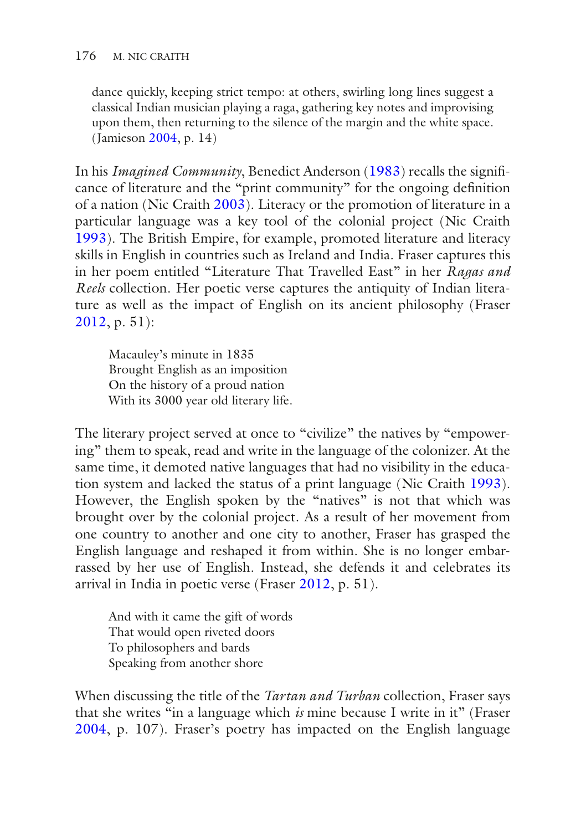dance quickly, keeping strict tempo: at others, swirling long lines suggest a classical Indian musician playing a raga, gathering key notes and improvising upon them, then returning to the silence of the margin and the white space. (Jamieson [2004,](#page-22-16) p. 14)

In his *Imagined Community*, Benedict Anderson [\(1983\)](#page-20-3) recalls the significance of literature and the "print community" for the ongoing definition of a nation (Nic Craith [2003\)](#page-22-17). Literacy or the promotion of literature in a particular language was a key tool of the colonial project (Nic Craith [1993](#page-22-18)). The British Empire, for example, promoted literature and literacy skills in English in countries such as Ireland and India. Fraser captures this in her poem entitled "Literature That Travelled East" in her *Ragas and Reels* collection. Her poetic verse captures the antiquity of Indian literature as well as the impact of English on its ancient philosophy (Fraser [2012](#page-21-11), p. 51):

Macauley's minute in 1835 Brought English as an imposition On the history of a proud nation With its 3000 year old literary life.

The literary project served at once to "civilize" the natives by "empowering" them to speak, read and write in the language of the colonizer. At the same time, it demoted native languages that had no visibility in the education system and lacked the status of a print language (Nic Craith [1993](#page-22-18)). However, the English spoken by the "natives" is not that which was brought over by the colonial project. As a result of her movement from one country to another and one city to another, Fraser has grasped the English language and reshaped it from within. She is no longer embarrassed by her use of English. Instead, she defends it and celebrates its arrival in India in poetic verse (Fraser [2012,](#page-21-11) p. 51).

And with it came the gift of words That would open riveted doors To philosophers and bards Speaking from another shore

When discussing the title of the *Tartan and Turban* collection, Fraser says that she writes "in a language which *is* mine because I write in it" (Fraser [2004](#page-21-0), p. 107). Fraser's poetry has impacted on the English language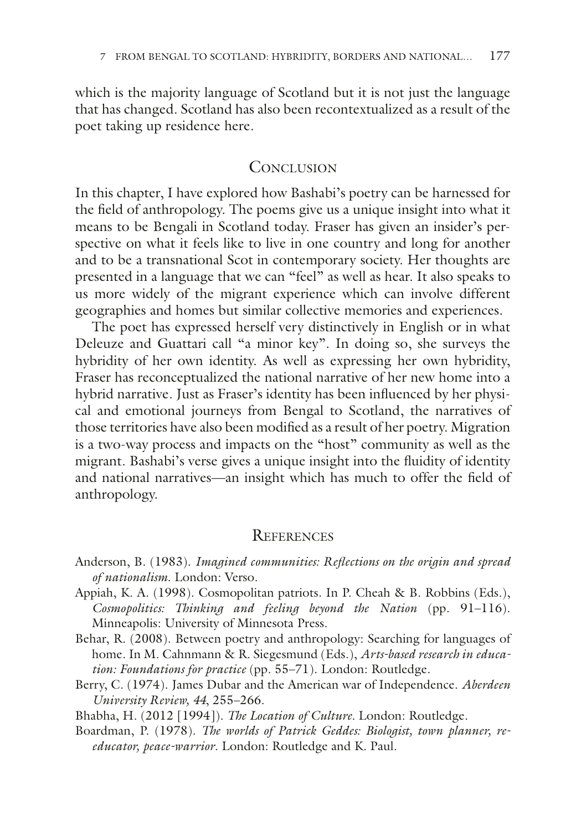which is the majority language of Scotland but it is not just the language that has changed. Scotland has also been recontextualized as a result of the poet taking up residence here.

#### **CONCLUSION**

In this chapter, I have explored how Bashabi's poetry can be harnessed for the field of anthropology. The poems give us a unique insight into what it means to be Bengali in Scotland today. Fraser has given an insider's perspective on what it feels like to live in one country and long for another and to be a transnational Scot in contemporary society. Her thoughts are presented in a language that we can "feel" as well as hear. It also speaks to us more widely of the migrant experience which can involve different geographies and homes but similar collective memories and experiences.

The poet has expressed herself very distinctively in English or in what Deleuze and Guattari call "a minor key". In doing so, she surveys the hybridity of her own identity. As well as expressing her own hybridity, Fraser has reconceptualized the national narrative of her new home into a hybrid narrative. Just as Fraser's identity has been influenced by her physical and emotional journeys from Bengal to Scotland, the narratives of those territories have also been modified as a result of her poetry. Migration is a two-way process and impacts on the "host" community as well as the migrant. Bashabi's verse gives a unique insight into the fluidity of identity and national narratives—an insight which has much to offer the field of anthropology.

#### **REFERENCES**

- <span id="page-20-3"></span>Anderson, B. (1983). *Imagined communities: Reflections on the origin and spread of nationalism*. London: Verso.
- <span id="page-20-2"></span>Appiah, K. A. (1998). Cosmopolitan patriots. In P. Cheah & B. Robbins (Eds.), *Cosmopolitics: Thinking and feeling beyond the Nation* (pp. 91–116). Minneapolis: University of Minnesota Press.
- <span id="page-20-0"></span>Behar, R. (2008). Between poetry and anthropology: Searching for languages of home. In M. Cahnmann & R. Siegesmund (Eds.), *Arts-based research in education: Foundations for practice* (pp. 55–71). London: Routledge.
- <span id="page-20-4"></span>Berry, C. (1974). James Dubar and the American war of Independence. *Aberdeen University Review, 44*, 255–266.

<span id="page-20-1"></span>Bhabha, H. (2012 [1994]). *The Location of Culture.* London: Routledge.

<span id="page-20-5"></span>Boardman, P. (1978). *The worlds of Patrick Geddes: Biologist, town planner, reeducator, peace-warrior*. London: Routledge and K. Paul.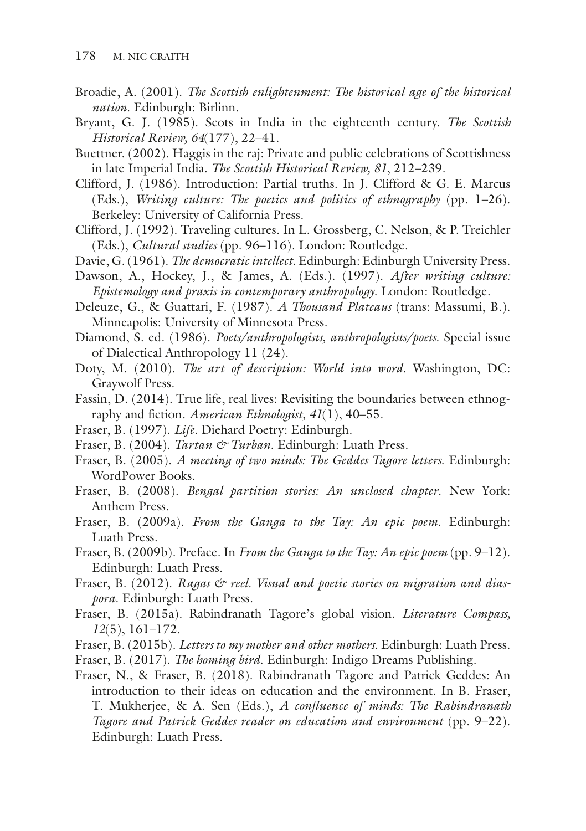- <span id="page-21-17"></span>Broadie, A. (2001). *The Scottish enlightenment: The historical age of the historical nation*. Edinburgh: Birlinn.
- <span id="page-21-1"></span>Bryant, G. J. (1985). Scots in India in the eighteenth century. *The Scottish Historical Review, 64*(177), 22–41.
- <span id="page-21-2"></span>Buettner. (2002). Haggis in the raj: Private and public celebrations of Scottishness in late Imperial India. *The Scottish Historical Review, 81*, 212–239.
- <span id="page-21-4"></span>Clifford, J. (1986). Introduction: Partial truths. In J. Clifford & G. E. Marcus (Eds.), *Writing culture: The poetics and politics of ethnography* (pp. 1–26). Berkeley: University of California Press.
- <span id="page-21-12"></span>Clifford, J. (1992). Traveling cultures. In L. Grossberg, C. Nelson, & P. Treichler (Eds.), *Cultural studies* (pp. 96–116). London: Routledge.
- <span id="page-21-16"></span>Davie, G. (1961). *The democratic intellect*. Edinburgh: Edinburgh University Press.
- <span id="page-21-5"></span>Dawson, A., Hockey, J., & James, A. (Eds.). (1997). *After writing culture: Epistemology and praxis in contemporary anthropology*. London: Routledge.
- <span id="page-21-10"></span>Deleuze, G., & Guattari, F. (1987). *A Thousand Plateaus* (trans: Massumi, B.). Minneapolis: University of Minnesota Press.
- <span id="page-21-3"></span>Diamond, S. ed. (1986). *Poets/anthropologists, anthropologists/poets*. Special issue of Dialectical Anthropology 11 (24).
- <span id="page-21-7"></span>Doty, M. (2010). *The art of description: World into word*. Washington, DC: Graywolf Press.
- <span id="page-21-6"></span>Fassin, D. (2014). True life, real lives: Revisiting the boundaries between ethnography and fiction. *American Ethnologist, 41*(1), 40–55.
- <span id="page-21-8"></span>Fraser, B. (1997). *Life*. Diehard Poetry: Edinburgh.
- <span id="page-21-0"></span>Fraser, B. (2004). *Tartan & Turban*. Edinburgh: Luath Press.
- <span id="page-21-18"></span>Fraser, B. (2005). *A meeting of two minds: The Geddes Tagore letters*. Edinburgh: WordPower Books.
- <span id="page-21-13"></span>Fraser, B. (2008). *Bengal partition stories: An unclosed chapter*. New York: Anthem Press.
- <span id="page-21-15"></span>Fraser, B. (2009a). *From the Ganga to the Tay: An epic poem*. Edinburgh: Luath Press.
- <span id="page-21-19"></span>Fraser, B. (2009b). Preface. In *From the Ganga to the Tay: An epic poem* (pp. 9–12). Edinburgh: Luath Press.
- <span id="page-21-11"></span>Fraser, B. (2012). Ragas & reel. Visual and poetic stories on migration and dias*pora*. Edinburgh: Luath Press.
- Fraser, B. (2015a). Rabindranath Tagore's global vision. *Literature Compass, 12*(5), 161–172.
- <span id="page-21-14"></span>Fraser, B. (2015b). *Letters to my mother and other mothers*. Edinburgh: Luath Press.
- <span id="page-21-9"></span>Fraser, B. (2017). *The homing bird*. Edinburgh: Indigo Dreams Publishing.
- Fraser, N., & Fraser, B. (2018). Rabindranath Tagore and Patrick Geddes: An introduction to their ideas on education and the environment. In B. Fraser, T. Mukherjee, & A. Sen (Eds.), *A confluence of minds: The Rabindranath Tagore and Patrick Geddes reader on education and environment* (pp. 9–22). Edinburgh: Luath Press.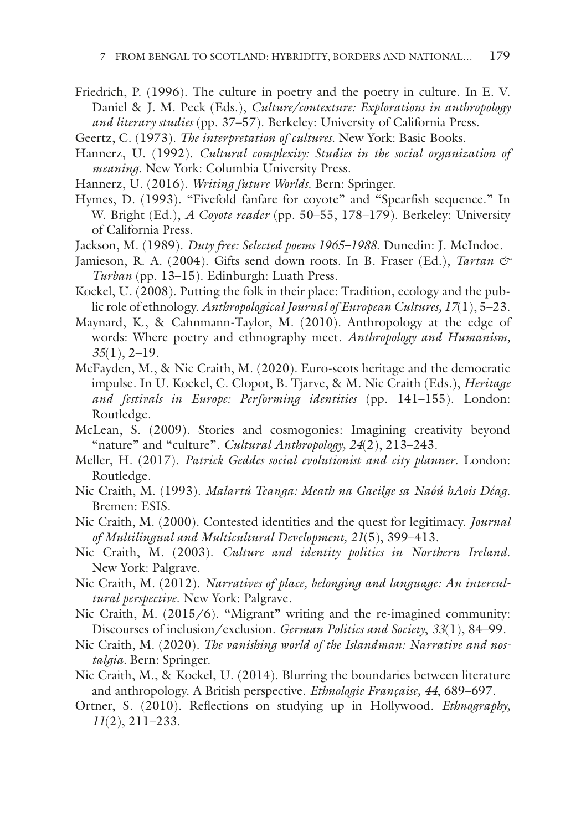- <span id="page-22-6"></span>Friedrich, P. (1996). The culture in poetry and the poetry in culture. In E. V. Daniel & J. M. Peck (Eds.), *Culture/contexture: Explorations in anthropology and literary studies* (pp. 37–57). Berkeley: University of California Press.
- <span id="page-22-4"></span>Geertz, C. (1973). *The interpretation of cultures*. New York: Basic Books.
- <span id="page-22-11"></span>Hannerz, U. (1992). *Cultural complexity: Studies in the social organization of meaning*. New York: Columbia University Press.
- <span id="page-22-8"></span>Hannerz, U. (2016). *Writing future Worlds*. Bern: Springer.
- <span id="page-22-3"></span>Hymes, D. (1993). "Fivefold fanfare for coyote" and "Spearfish sequence." In W. Bright (Ed.), *A Coyote reader* (pp. 50–55, 178–179). Berkeley: University of California Press.
- <span id="page-22-2"></span>Jackson, M. (1989). *Duty free: Selected poems 1965–1988*. Dunedin: J. McIndoe.
- <span id="page-22-16"></span>Jamieson, R. A. (2004). Gifts send down roots. In B. Fraser (Ed.), *Tartan & Turban* (pp. 13–15). Edinburgh: Luath Press.
- <span id="page-22-13"></span>Kockel, U. (2008). Putting the folk in their place: Tradition, ecology and the public role of ethnology. *Anthropological Journal of European Cultures, 17*(1), 5–23.
- <span id="page-22-7"></span>Maynard, K., & Cahnmann-Taylor, M. (2010). Anthropology at the edge of words: Where poetry and ethnography meet. *Anthropology and Humanism, 35*(1), 2–19.
- McFayden, M., & Nic Craith, M. (2020). Euro-scots heritage and the democratic impulse. In U. Kockel, C. Clopot, B. Tjarve, & M. Nic Craith (Eds.), *Heritage and festivals in Europe: Performing identities* (pp. 141–155). London: Routledge.
- <span id="page-22-12"></span>McLean, S. (2009). Stories and cosmogonies: Imagining creativity beyond "nature" and "culture". *Cultural Anthropology, 24*(2), 213–243.
- <span id="page-22-14"></span>Meller, H. (2017). *Patrick Geddes social evolutionist and city planner*. London: Routledge.
- <span id="page-22-18"></span>Nic Craith, M. (1993). *Malartú Teanga: Meath na Gaeilge sa Naóú hAois Déag*. Bremen: ESIS.
- <span id="page-22-10"></span>Nic Craith, M. (2000). Contested identities and the quest for legitimacy. *Journal of Multilingual and Multicultural Development, 21*(5), 399–413.
- <span id="page-22-17"></span>Nic Craith, M. (2003). *Culture and identity politics in Northern Ireland*. New York: Palgrave.
- <span id="page-22-0"></span>Nic Craith, M. (2012). *Narratives of place, belonging and language: An intercultural perspective*. New York: Palgrave.
- <span id="page-22-15"></span>Nic Craith, M. (2015/6). "Migrant" writing and the re-imagined community: Discourses of inclusion/exclusion. *German Politics and Society*, *33*(1), 84–99.
- <span id="page-22-1"></span>Nic Craith, M. (2020). *The vanishing world of the Islandman: Narrative and nostalgia.* Bern: Springer.
- <span id="page-22-5"></span>Nic Craith, M., & Kockel, U. (2014). Blurring the boundaries between literature and anthropology. A British perspective. *Ethnologie Française, 44*, 689–697.
- <span id="page-22-9"></span>Ortner, S. (2010). Reflections on studying up in Hollywood. *Ethnography, 11*(2), 211–233.